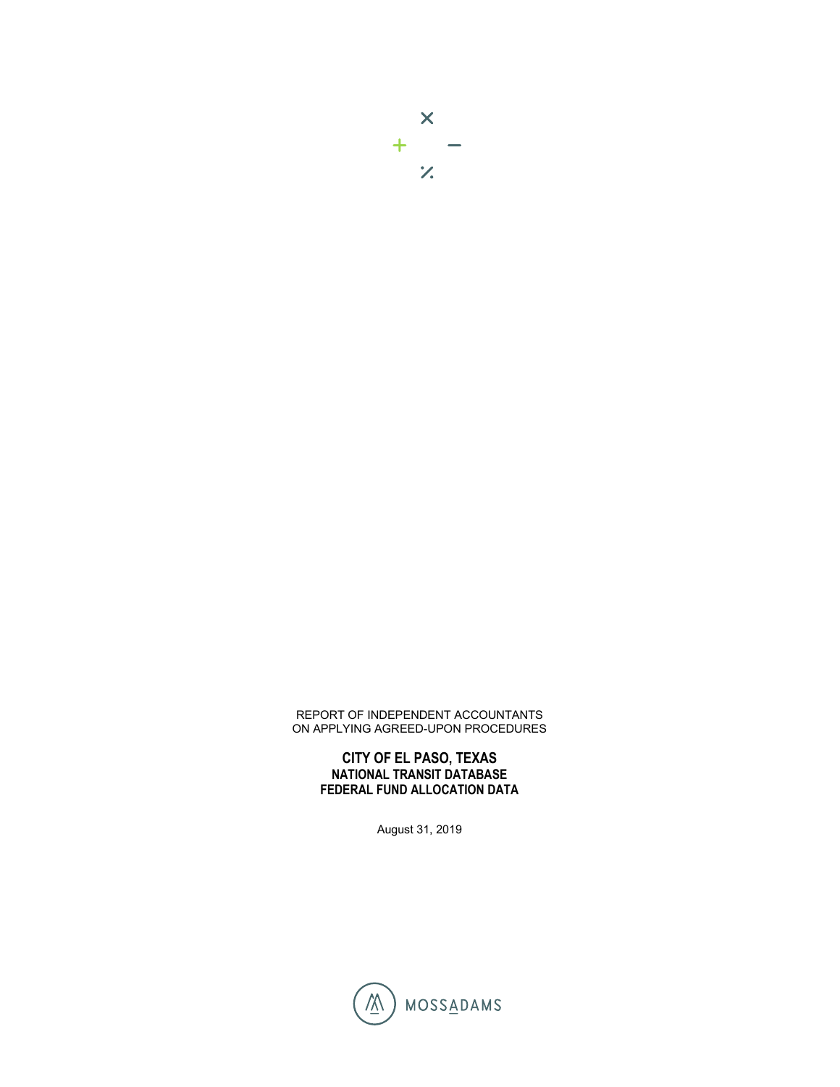## REPORT OF INDEPENDENT ACCOUNTANTS ON APPLYING AGREED-UPON PROCEDURES

## **CITY OF EL PASO, TEXAS NATIONAL TRANSIT DATABASE FEDERAL FUND ALLOCATION DATA**

August 31, 2019

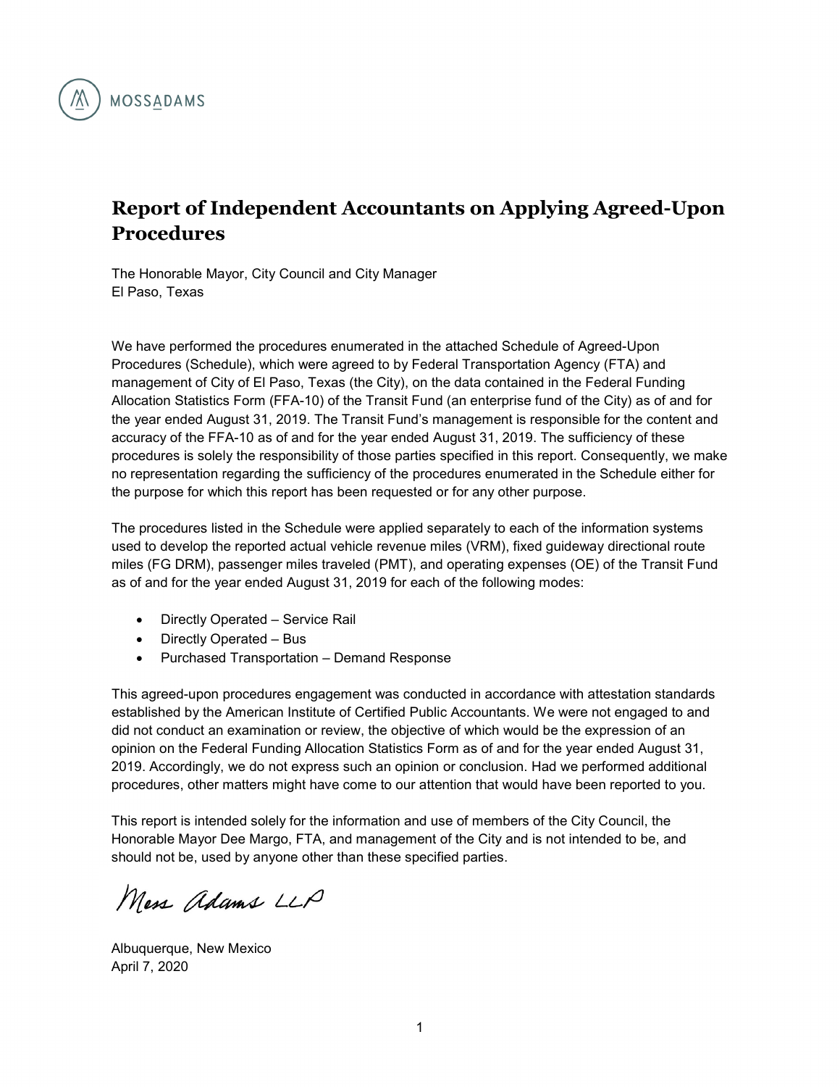

## **Report of Independent Accountants on Applying Agreed-Upon Procedures**

The Honorable Mayor, City Council and City Manager El Paso, Texas

We have performed the procedures enumerated in the attached Schedule of Agreed-Upon Procedures (Schedule), which were agreed to by Federal Transportation Agency (FTA) and management of City of El Paso, Texas (the City), on the data contained in the Federal Funding Allocation Statistics Form (FFA-10) of the Transit Fund (an enterprise fund of the City) as of and for the year ended August 31, 2019. The Transit Fund's management is responsible for the content and accuracy of the FFA-10 as of and for the year ended August 31, 2019. The sufficiency of these procedures is solely the responsibility of those parties specified in this report. Consequently, we make no representation regarding the sufficiency of the procedures enumerated in the Schedule either for the purpose for which this report has been requested or for any other purpose.

The procedures listed in the Schedule were applied separately to each of the information systems used to develop the reported actual vehicle revenue miles (VRM), fixed guideway directional route miles (FG DRM), passenger miles traveled (PMT), and operating expenses (OE) of the Transit Fund as of and for the year ended August 31, 2019 for each of the following modes:

- Directly Operated Service Rail
- Directly Operated Bus
- Purchased Transportation Demand Response

This agreed-upon procedures engagement was conducted in accordance with attestation standards established by the American Institute of Certified Public Accountants. We were not engaged to and did not conduct an examination or review, the objective of which would be the expression of an opinion on the Federal Funding Allocation Statistics Form as of and for the year ended August 31, 2019. Accordingly, we do not express such an opinion or conclusion. Had we performed additional procedures, other matters might have come to our attention that would have been reported to you.

This report is intended solely for the information and use of members of the City Council, the Honorable Mayor Dee Margo, FTA, and management of the City and is not intended to be, and should not be, used by anyone other than these specified parties.

Mess adams LLP

Albuquerque, New Mexico April 7, 2020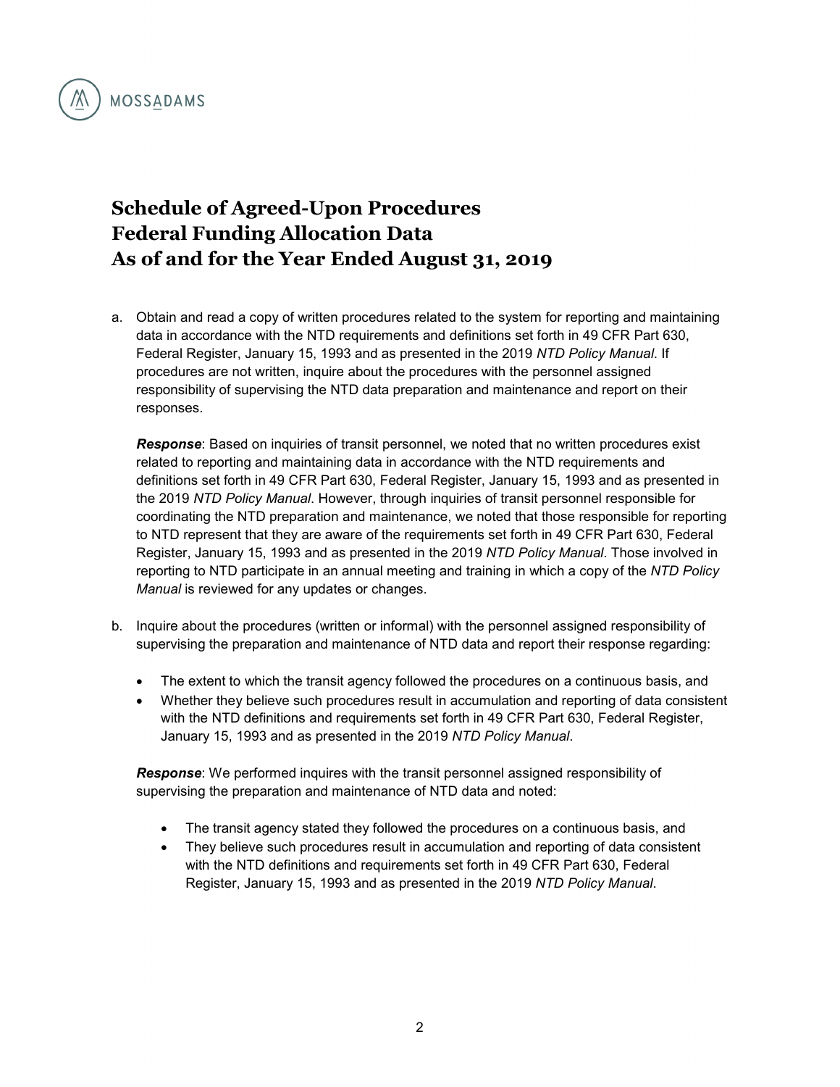

## **Schedule of Agreed-Upon Procedures Federal Funding Allocation Data As of and for the Year Ended August 31, 2019**

a. Obtain and read a copy of written procedures related to the system for reporting and maintaining data in accordance with the NTD requirements and definitions set forth in 49 CFR Part 630, Federal Register, January 15, 1993 and as presented in the 2019 *NTD Policy Manual*. If procedures are not written, inquire about the procedures with the personnel assigned responsibility of supervising the NTD data preparation and maintenance and report on their responses.

*Response*: Based on inquiries of transit personnel, we noted that no written procedures exist related to reporting and maintaining data in accordance with the NTD requirements and definitions set forth in 49 CFR Part 630, Federal Register, January 15, 1993 and as presented in the 2019 *NTD Policy Manual*. However, through inquiries of transit personnel responsible for coordinating the NTD preparation and maintenance, we noted that those responsible for reporting to NTD represent that they are aware of the requirements set forth in 49 CFR Part 630, Federal Register, January 15, 1993 and as presented in the 2019 *NTD Policy Manual*. Those involved in reporting to NTD participate in an annual meeting and training in which a copy of the *NTD Policy Manual* is reviewed for any updates or changes.

- b. Inquire about the procedures (written or informal) with the personnel assigned responsibility of supervising the preparation and maintenance of NTD data and report their response regarding:
	- The extent to which the transit agency followed the procedures on a continuous basis, and
	- Whether they believe such procedures result in accumulation and reporting of data consistent with the NTD definitions and requirements set forth in 49 CFR Part 630, Federal Register, January 15, 1993 and as presented in the 2019 *NTD Policy Manual*.

*Response*: We performed inquires with the transit personnel assigned responsibility of supervising the preparation and maintenance of NTD data and noted:

- The transit agency stated they followed the procedures on a continuous basis, and
- They believe such procedures result in accumulation and reporting of data consistent with the NTD definitions and requirements set forth in 49 CFR Part 630, Federal Register, January 15, 1993 and as presented in the 2019 *NTD Policy Manual*.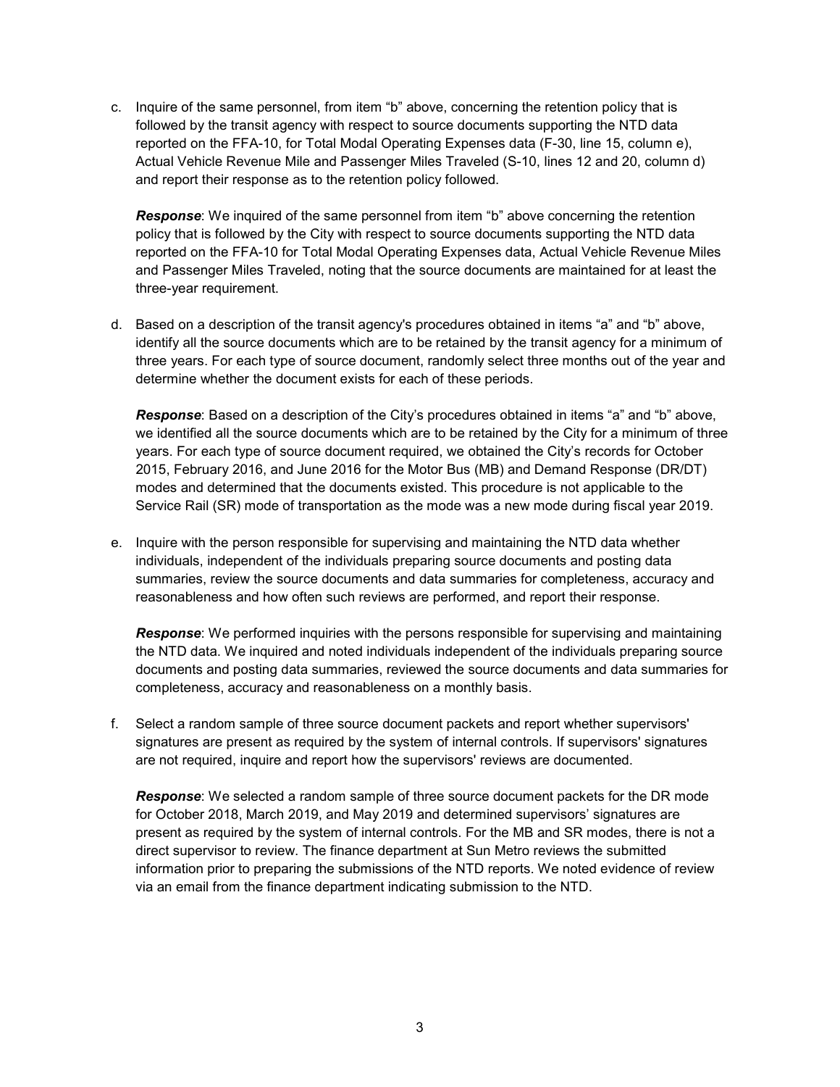c. Inquire of the same personnel, from item "b" above, concerning the retention policy that is followed by the transit agency with respect to source documents supporting the NTD data reported on the FFA-10, for Total Modal Operating Expenses data (F-30, line 15, column e), Actual Vehicle Revenue Mile and Passenger Miles Traveled (S-10, lines 12 and 20, column d) and report their response as to the retention policy followed.

*Response*: We inquired of the same personnel from item "b" above concerning the retention policy that is followed by the City with respect to source documents supporting the NTD data reported on the FFA-10 for Total Modal Operating Expenses data, Actual Vehicle Revenue Miles and Passenger Miles Traveled, noting that the source documents are maintained for at least the three-year requirement.

d. Based on a description of the transit agency's procedures obtained in items "a" and "b" above, identify all the source documents which are to be retained by the transit agency for a minimum of three years. For each type of source document, randomly select three months out of the year and determine whether the document exists for each of these periods.

*Response*: Based on a description of the City's procedures obtained in items "a" and "b" above, we identified all the source documents which are to be retained by the City for a minimum of three years. For each type of source document required, we obtained the City's records for October 2015, February 2016, and June 2016 for the Motor Bus (MB) and Demand Response (DR/DT) modes and determined that the documents existed. This procedure is not applicable to the Service Rail (SR) mode of transportation as the mode was a new mode during fiscal year 2019.

e. Inquire with the person responsible for supervising and maintaining the NTD data whether individuals, independent of the individuals preparing source documents and posting data summaries, review the source documents and data summaries for completeness, accuracy and reasonableness and how often such reviews are performed, and report their response.

*Response*: We performed inquiries with the persons responsible for supervising and maintaining the NTD data. We inquired and noted individuals independent of the individuals preparing source documents and posting data summaries, reviewed the source documents and data summaries for completeness, accuracy and reasonableness on a monthly basis.

f. Select a random sample of three source document packets and report whether supervisors' signatures are present as required by the system of internal controls. If supervisors' signatures are not required, inquire and report how the supervisors' reviews are documented.

*Response*: We selected a random sample of three source document packets for the DR mode for October 2018, March 2019, and May 2019 and determined supervisors' signatures are present as required by the system of internal controls. For the MB and SR modes, there is not a direct supervisor to review. The finance department at Sun Metro reviews the submitted information prior to preparing the submissions of the NTD reports. We noted evidence of review via an email from the finance department indicating submission to the NTD.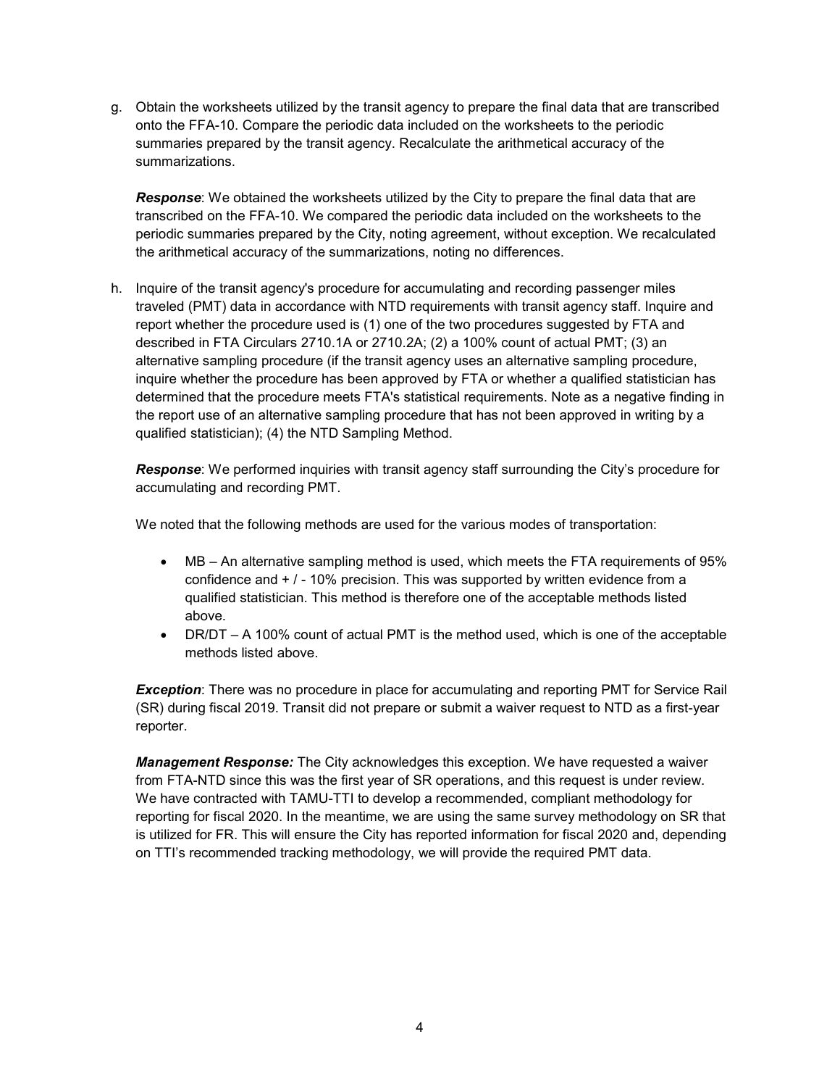g. Obtain the worksheets utilized by the transit agency to prepare the final data that are transcribed onto the FFA-10. Compare the periodic data included on the worksheets to the periodic summaries prepared by the transit agency. Recalculate the arithmetical accuracy of the summarizations.

*Response*: We obtained the worksheets utilized by the City to prepare the final data that are transcribed on the FFA-10. We compared the periodic data included on the worksheets to the periodic summaries prepared by the City, noting agreement, without exception. We recalculated the arithmetical accuracy of the summarizations, noting no differences.

h. Inquire of the transit agency's procedure for accumulating and recording passenger miles traveled (PMT) data in accordance with NTD requirements with transit agency staff. Inquire and report whether the procedure used is (1) one of the two procedures suggested by FTA and described in FTA Circulars 2710.1A or 2710.2A; (2) a 100% count of actual PMT; (3) an alternative sampling procedure (if the transit agency uses an alternative sampling procedure, inquire whether the procedure has been approved by FTA or whether a qualified statistician has determined that the procedure meets FTA's statistical requirements. Note as a negative finding in the report use of an alternative sampling procedure that has not been approved in writing by a qualified statistician); (4) the NTD Sampling Method.

*Response*: We performed inquiries with transit agency staff surrounding the City's procedure for accumulating and recording PMT.

We noted that the following methods are used for the various modes of transportation:

- MB An alternative sampling method is used, which meets the FTA requirements of 95% confidence and + / - 10% precision. This was supported by written evidence from a qualified statistician. This method is therefore one of the acceptable methods listed above.
- DR/DT A 100% count of actual PMT is the method used, which is one of the acceptable methods listed above.

**Exception**: There was no procedure in place for accumulating and reporting PMT for Service Rail (SR) during fiscal 2019. Transit did not prepare or submit a waiver request to NTD as a first-year reporter.

*Management Response:* The City acknowledges this exception. We have requested a waiver from FTA-NTD since this was the first year of SR operations, and this request is under review. We have contracted with TAMU-TTI to develop a recommended, compliant methodology for reporting for fiscal 2020. In the meantime, we are using the same survey methodology on SR that is utilized for FR. This will ensure the City has reported information for fiscal 2020 and, depending on TTI's recommended tracking methodology, we will provide the required PMT data.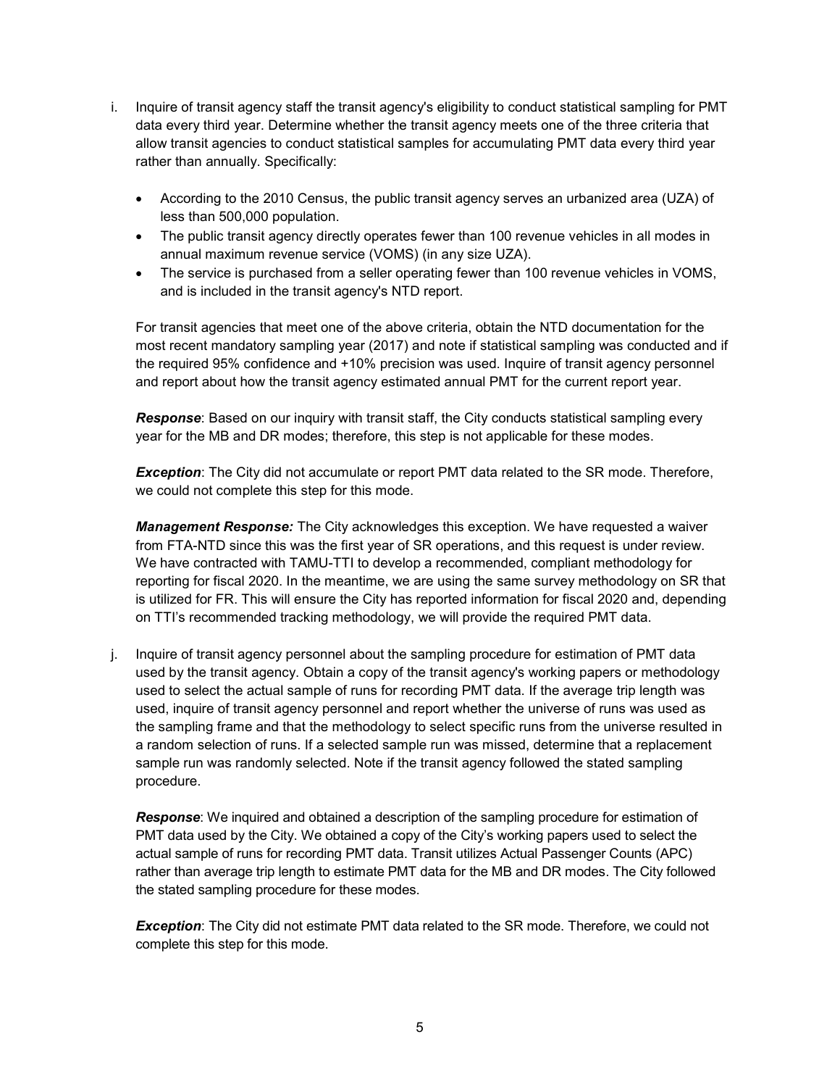- i. Inquire of transit agency staff the transit agency's eligibility to conduct statistical sampling for PMT data every third year. Determine whether the transit agency meets one of the three criteria that allow transit agencies to conduct statistical samples for accumulating PMT data every third year rather than annually. Specifically:
	- According to the 2010 Census, the public transit agency serves an urbanized area (UZA) of less than 500,000 population.
	- The public transit agency directly operates fewer than 100 revenue vehicles in all modes in annual maximum revenue service (VOMS) (in any size UZA).
	- The service is purchased from a seller operating fewer than 100 revenue vehicles in VOMS, and is included in the transit agency's NTD report.

For transit agencies that meet one of the above criteria, obtain the NTD documentation for the most recent mandatory sampling year (2017) and note if statistical sampling was conducted and if the required 95% confidence and +10% precision was used. Inquire of transit agency personnel and report about how the transit agency estimated annual PMT for the current report year.

*Response*: Based on our inquiry with transit staff, the City conducts statistical sampling every year for the MB and DR modes; therefore, this step is not applicable for these modes.

*Exception*: The City did not accumulate or report PMT data related to the SR mode. Therefore, we could not complete this step for this mode.

*Management Response:* The City acknowledges this exception. We have requested a waiver from FTA-NTD since this was the first year of SR operations, and this request is under review. We have contracted with TAMU-TTI to develop a recommended, compliant methodology for reporting for fiscal 2020. In the meantime, we are using the same survey methodology on SR that is utilized for FR. This will ensure the City has reported information for fiscal 2020 and, depending on TTI's recommended tracking methodology, we will provide the required PMT data.

j. Inquire of transit agency personnel about the sampling procedure for estimation of PMT data used by the transit agency. Obtain a copy of the transit agency's working papers or methodology used to select the actual sample of runs for recording PMT data. If the average trip length was used, inquire of transit agency personnel and report whether the universe of runs was used as the sampling frame and that the methodology to select specific runs from the universe resulted in a random selection of runs. If a selected sample run was missed, determine that a replacement sample run was randomly selected. Note if the transit agency followed the stated sampling procedure.

*Response*: We inquired and obtained a description of the sampling procedure for estimation of PMT data used by the City. We obtained a copy of the City's working papers used to select the actual sample of runs for recording PMT data. Transit utilizes Actual Passenger Counts (APC) rather than average trip length to estimate PMT data for the MB and DR modes. The City followed the stated sampling procedure for these modes.

*Exception*: The City did not estimate PMT data related to the SR mode. Therefore, we could not complete this step for this mode.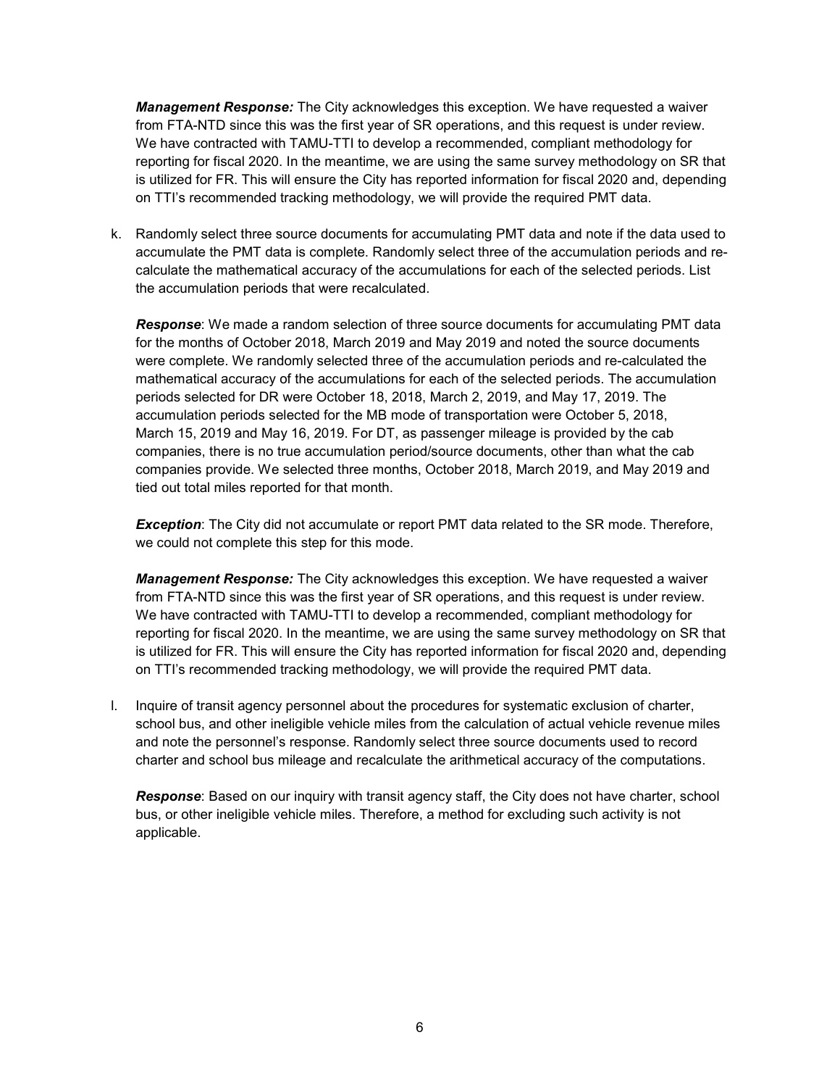*Management Response:* The City acknowledges this exception. We have requested a waiver from FTA-NTD since this was the first year of SR operations, and this request is under review. We have contracted with TAMU-TTI to develop a recommended, compliant methodology for reporting for fiscal 2020. In the meantime, we are using the same survey methodology on SR that is utilized for FR. This will ensure the City has reported information for fiscal 2020 and, depending on TTI's recommended tracking methodology, we will provide the required PMT data.

k. Randomly select three source documents for accumulating PMT data and note if the data used to accumulate the PMT data is complete. Randomly select three of the accumulation periods and recalculate the mathematical accuracy of the accumulations for each of the selected periods. List the accumulation periods that were recalculated.

*Response*: We made a random selection of three source documents for accumulating PMT data for the months of October 2018, March 2019 and May 2019 and noted the source documents were complete. We randomly selected three of the accumulation periods and re-calculated the mathematical accuracy of the accumulations for each of the selected periods. The accumulation periods selected for DR were October 18, 2018, March 2, 2019, and May 17, 2019. The accumulation periods selected for the MB mode of transportation were October 5, 2018, March 15, 2019 and May 16, 2019. For DT, as passenger mileage is provided by the cab companies, there is no true accumulation period/source documents, other than what the cab companies provide. We selected three months, October 2018, March 2019, and May 2019 and tied out total miles reported for that month.

**Exception**: The City did not accumulate or report PMT data related to the SR mode. Therefore, we could not complete this step for this mode.

*Management Response:* The City acknowledges this exception. We have requested a waiver from FTA-NTD since this was the first year of SR operations, and this request is under review. We have contracted with TAMU-TTI to develop a recommended, compliant methodology for reporting for fiscal 2020. In the meantime, we are using the same survey methodology on SR that is utilized for FR. This will ensure the City has reported information for fiscal 2020 and, depending on TTI's recommended tracking methodology, we will provide the required PMT data.

l. Inquire of transit agency personnel about the procedures for systematic exclusion of charter, school bus, and other ineligible vehicle miles from the calculation of actual vehicle revenue miles and note the personnel's response. Randomly select three source documents used to record charter and school bus mileage and recalculate the arithmetical accuracy of the computations.

*Response*: Based on our inquiry with transit agency staff, the City does not have charter, school bus, or other ineligible vehicle miles. Therefore, a method for excluding such activity is not applicable.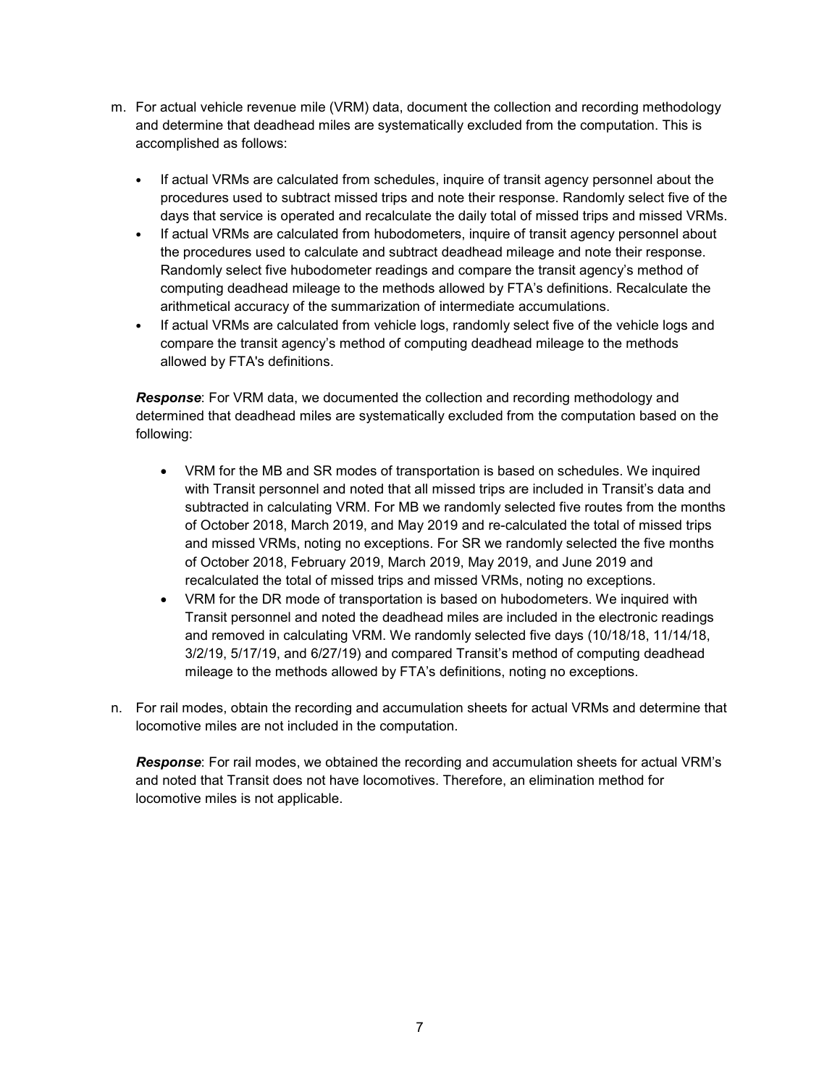- m. For actual vehicle revenue mile (VRM) data, document the collection and recording methodology and determine that deadhead miles are systematically excluded from the computation. This is accomplished as follows:
	- If actual VRMs are calculated from schedules, inquire of transit agency personnel about the procedures used to subtract missed trips and note their response. Randomly select five of the days that service is operated and recalculate the daily total of missed trips and missed VRMs.
	- If actual VRMs are calculated from hubodometers, inquire of transit agency personnel about the procedures used to calculate and subtract deadhead mileage and note their response. Randomly select five hubodometer readings and compare the transit agency's method of computing deadhead mileage to the methods allowed by FTA's definitions. Recalculate the arithmetical accuracy of the summarization of intermediate accumulations.
	- If actual VRMs are calculated from vehicle logs, randomly select five of the vehicle logs and compare the transit agency's method of computing deadhead mileage to the methods allowed by FTA's definitions.

*Response*: For VRM data, we documented the collection and recording methodology and determined that deadhead miles are systematically excluded from the computation based on the following:

- VRM for the MB and SR modes of transportation is based on schedules. We inquired with Transit personnel and noted that all missed trips are included in Transit's data and subtracted in calculating VRM. For MB we randomly selected five routes from the months of October 2018, March 2019, and May 2019 and re-calculated the total of missed trips and missed VRMs, noting no exceptions. For SR we randomly selected the five months of October 2018, February 2019, March 2019, May 2019, and June 2019 and recalculated the total of missed trips and missed VRMs, noting no exceptions.
- VRM for the DR mode of transportation is based on hubodometers. We inquired with Transit personnel and noted the deadhead miles are included in the electronic readings and removed in calculating VRM. We randomly selected five days (10/18/18, 11/14/18, 3/2/19, 5/17/19, and 6/27/19) and compared Transit's method of computing deadhead mileage to the methods allowed by FTA's definitions, noting no exceptions.
- n. For rail modes, obtain the recording and accumulation sheets for actual VRMs and determine that locomotive miles are not included in the computation.

*Response*: For rail modes, we obtained the recording and accumulation sheets for actual VRM's and noted that Transit does not have locomotives. Therefore, an elimination method for locomotive miles is not applicable.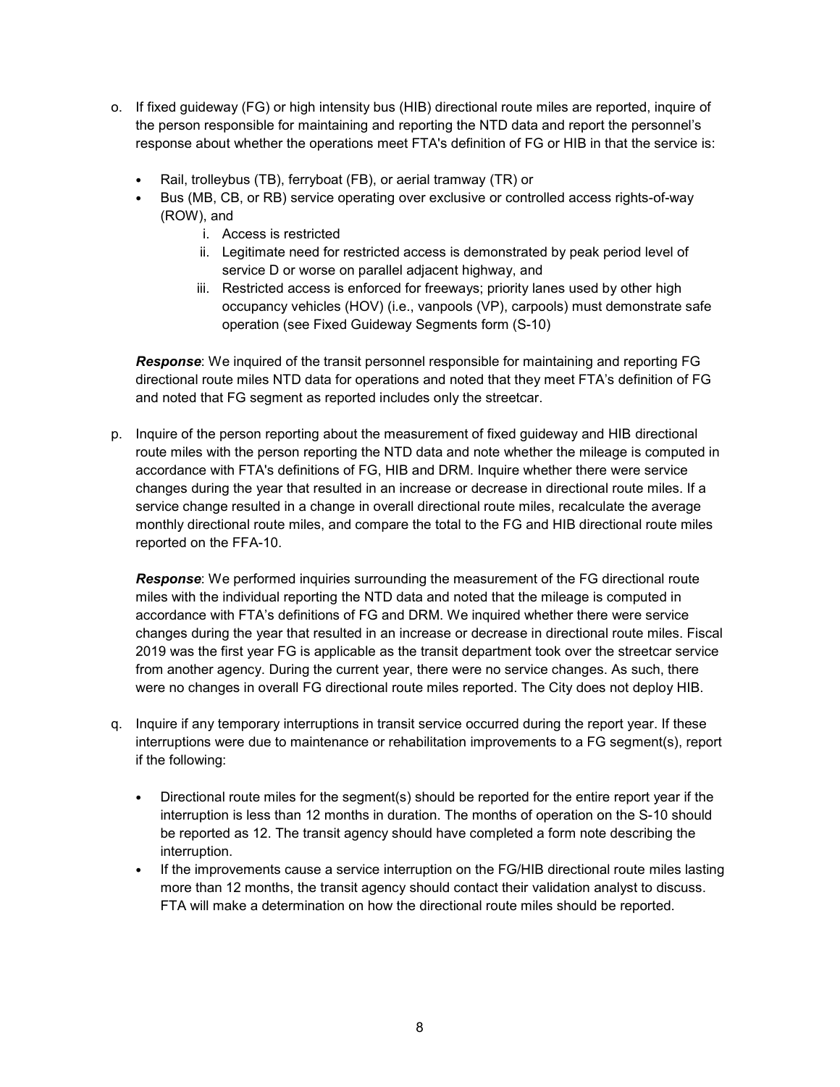- o. If fixed guideway (FG) or high intensity bus (HIB) directional route miles are reported, inquire of the person responsible for maintaining and reporting the NTD data and report the personnel's response about whether the operations meet FTA's definition of FG or HIB in that the service is:
	- Rail, trolleybus (TB), ferryboat (FB), or aerial tramway (TR) or
	- Bus (MB, CB, or RB) service operating over exclusive or controlled access rights-of-way (ROW), and
		- i. Access is restricted
		- ii. Legitimate need for restricted access is demonstrated by peak period level of service D or worse on parallel adjacent highway, and
		- iii. Restricted access is enforced for freeways; priority lanes used by other high occupancy vehicles (HOV) (i.e., vanpools (VP), carpools) must demonstrate safe operation (see Fixed Guideway Segments form (S-10)

*Response*: We inquired of the transit personnel responsible for maintaining and reporting FG directional route miles NTD data for operations and noted that they meet FTA's definition of FG and noted that FG segment as reported includes only the streetcar.

p. Inquire of the person reporting about the measurement of fixed guideway and HIB directional route miles with the person reporting the NTD data and note whether the mileage is computed in accordance with FTA's definitions of FG, HIB and DRM. Inquire whether there were service changes during the year that resulted in an increase or decrease in directional route miles. If a service change resulted in a change in overall directional route miles, recalculate the average monthly directional route miles, and compare the total to the FG and HIB directional route miles reported on the FFA-10.

*Response*: We performed inquiries surrounding the measurement of the FG directional route miles with the individual reporting the NTD data and noted that the mileage is computed in accordance with FTA's definitions of FG and DRM. We inquired whether there were service changes during the year that resulted in an increase or decrease in directional route miles. Fiscal 2019 was the first year FG is applicable as the transit department took over the streetcar service from another agency. During the current year, there were no service changes. As such, there were no changes in overall FG directional route miles reported. The City does not deploy HIB.

- q. Inquire if any temporary interruptions in transit service occurred during the report year. If these interruptions were due to maintenance or rehabilitation improvements to a FG segment(s), report if the following:
	- Directional route miles for the segment(s) should be reported for the entire report year if the interruption is less than 12 months in duration. The months of operation on the S-10 should be reported as 12. The transit agency should have completed a form note describing the interruption.
	- If the improvements cause a service interruption on the FG/HIB directional route miles lasting more than 12 months, the transit agency should contact their validation analyst to discuss. FTA will make a determination on how the directional route miles should be reported.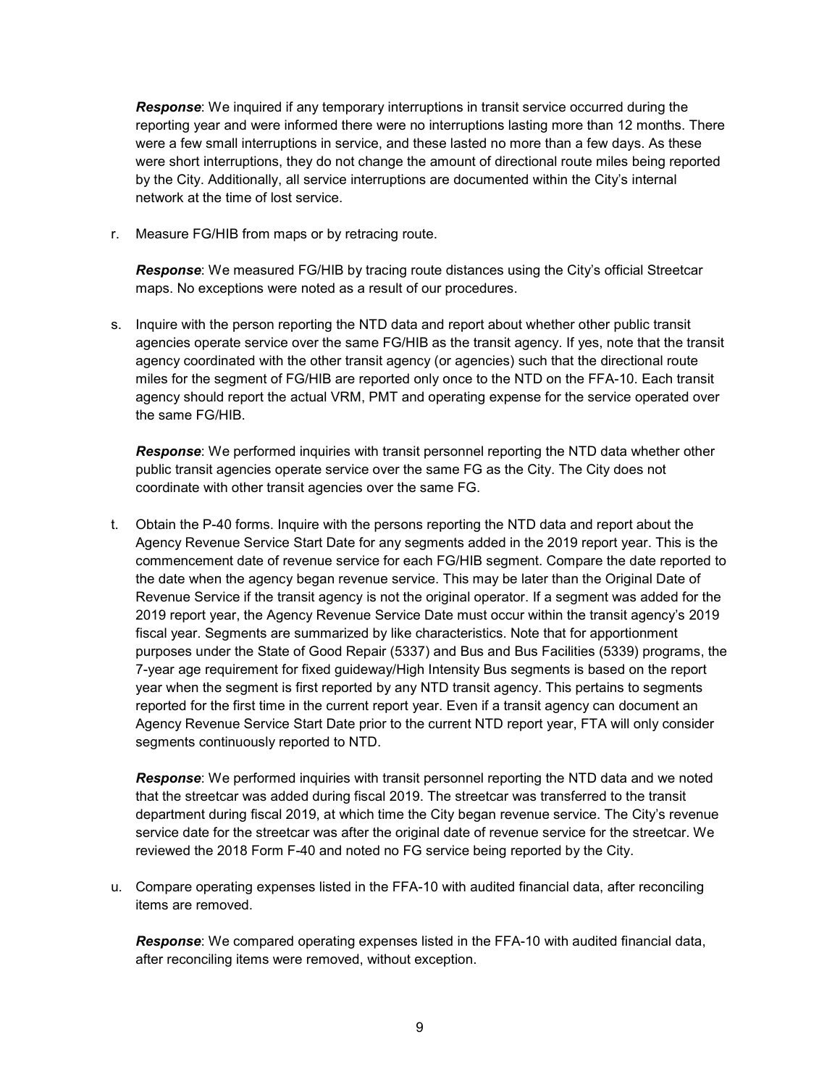*Response*: We inquired if any temporary interruptions in transit service occurred during the reporting year and were informed there were no interruptions lasting more than 12 months. There were a few small interruptions in service, and these lasted no more than a few days. As these were short interruptions, they do not change the amount of directional route miles being reported by the City. Additionally, all service interruptions are documented within the City's internal network at the time of lost service.

r. Measure FG/HIB from maps or by retracing route.

*Response*: We measured FG/HIB by tracing route distances using the City's official Streetcar maps. No exceptions were noted as a result of our procedures.

s. Inquire with the person reporting the NTD data and report about whether other public transit agencies operate service over the same FG/HIB as the transit agency. If yes, note that the transit agency coordinated with the other transit agency (or agencies) such that the directional route miles for the segment of FG/HIB are reported only once to the NTD on the FFA-10. Each transit agency should report the actual VRM, PMT and operating expense for the service operated over the same FG/HIB.

*Response*: We performed inquiries with transit personnel reporting the NTD data whether other public transit agencies operate service over the same FG as the City. The City does not coordinate with other transit agencies over the same FG.

t. Obtain the P-40 forms. Inquire with the persons reporting the NTD data and report about the Agency Revenue Service Start Date for any segments added in the 2019 report year. This is the commencement date of revenue service for each FG/HIB segment. Compare the date reported to the date when the agency began revenue service. This may be later than the Original Date of Revenue Service if the transit agency is not the original operator. If a segment was added for the 2019 report year, the Agency Revenue Service Date must occur within the transit agency's 2019 fiscal year. Segments are summarized by like characteristics. Note that for apportionment purposes under the State of Good Repair (5337) and Bus and Bus Facilities (5339) programs, the 7-year age requirement for fixed guideway/High Intensity Bus segments is based on the report year when the segment is first reported by any NTD transit agency. This pertains to segments reported for the first time in the current report year. Even if a transit agency can document an Agency Revenue Service Start Date prior to the current NTD report year, FTA will only consider segments continuously reported to NTD.

*Response*: We performed inquiries with transit personnel reporting the NTD data and we noted that the streetcar was added during fiscal 2019. The streetcar was transferred to the transit department during fiscal 2019, at which time the City began revenue service. The City's revenue service date for the streetcar was after the original date of revenue service for the streetcar. We reviewed the 2018 Form F-40 and noted no FG service being reported by the City.

u. Compare operating expenses listed in the FFA-10 with audited financial data, after reconciling items are removed.

*Response*: We compared operating expenses listed in the FFA-10 with audited financial data, after reconciling items were removed, without exception.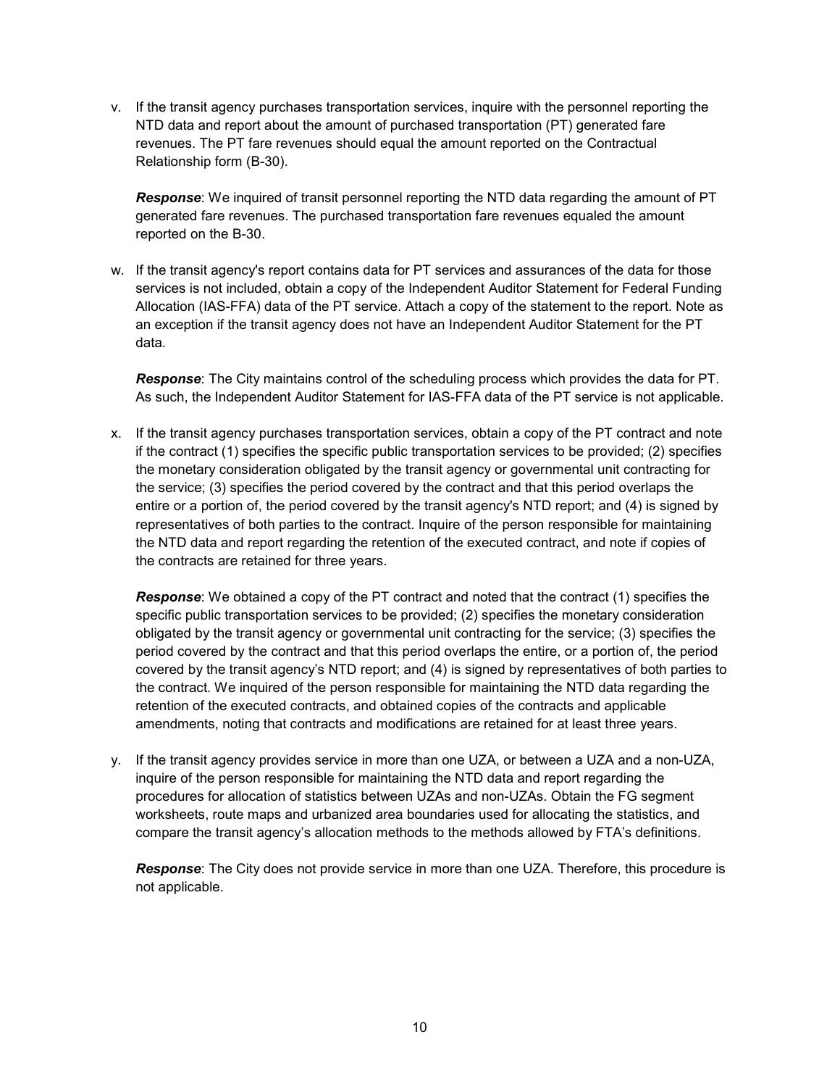v. If the transit agency purchases transportation services, inquire with the personnel reporting the NTD data and report about the amount of purchased transportation (PT) generated fare revenues. The PT fare revenues should equal the amount reported on the Contractual Relationship form (B-30).

*Response*: We inquired of transit personnel reporting the NTD data regarding the amount of PT generated fare revenues. The purchased transportation fare revenues equaled the amount reported on the B-30.

w. If the transit agency's report contains data for PT services and assurances of the data for those services is not included, obtain a copy of the Independent Auditor Statement for Federal Funding Allocation (IAS-FFA) data of the PT service. Attach a copy of the statement to the report. Note as an exception if the transit agency does not have an Independent Auditor Statement for the PT data.

*Response*: The City maintains control of the scheduling process which provides the data for PT. As such, the Independent Auditor Statement for IAS-FFA data of the PT service is not applicable.

x. If the transit agency purchases transportation services, obtain a copy of the PT contract and note if the contract (1) specifies the specific public transportation services to be provided; (2) specifies the monetary consideration obligated by the transit agency or governmental unit contracting for the service; (3) specifies the period covered by the contract and that this period overlaps the entire or a portion of, the period covered by the transit agency's NTD report; and (4) is signed by representatives of both parties to the contract. Inquire of the person responsible for maintaining the NTD data and report regarding the retention of the executed contract, and note if copies of the contracts are retained for three years.

*Response*: We obtained a copy of the PT contract and noted that the contract (1) specifies the specific public transportation services to be provided; (2) specifies the monetary consideration obligated by the transit agency or governmental unit contracting for the service; (3) specifies the period covered by the contract and that this period overlaps the entire, or a portion of, the period covered by the transit agency's NTD report; and (4) is signed by representatives of both parties to the contract. We inquired of the person responsible for maintaining the NTD data regarding the retention of the executed contracts, and obtained copies of the contracts and applicable amendments, noting that contracts and modifications are retained for at least three years.

y. If the transit agency provides service in more than one UZA, or between a UZA and a non-UZA, inquire of the person responsible for maintaining the NTD data and report regarding the procedures for allocation of statistics between UZAs and non-UZAs. Obtain the FG segment worksheets, route maps and urbanized area boundaries used for allocating the statistics, and compare the transit agency's allocation methods to the methods allowed by FTA's definitions.

*Response*: The City does not provide service in more than one UZA. Therefore, this procedure is not applicable.